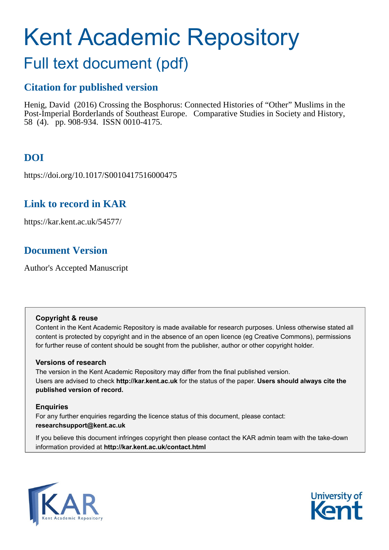# Kent Academic Repository

# Full text document (pdf)

# **Citation for published version**

Henig, David (2016) Crossing the Bosphorus: Connected Histories of "Other" Muslims in the Post-Imperial Borderlands of Southeast Europe. Comparative Studies in Society and History, 58 (4). pp. 908-934. ISSN 0010-4175.

# **DOI**

https://doi.org/10.1017/S0010417516000475

# **Link to record in KAR**

https://kar.kent.ac.uk/54577/

# **Document Version**

Author's Accepted Manuscript

# **Copyright & reuse**

Content in the Kent Academic Repository is made available for research purposes. Unless otherwise stated all content is protected by copyright and in the absence of an open licence (eg Creative Commons), permissions for further reuse of content should be sought from the publisher, author or other copyright holder.

# **Versions of research**

The version in the Kent Academic Repository may differ from the final published version. Users are advised to check **http://kar.kent.ac.uk** for the status of the paper. **Users should always cite the published version of record.**

# **Enquiries**

For any further enquiries regarding the licence status of this document, please contact: **researchsupport@kent.ac.uk**

If you believe this document infringes copyright then please contact the KAR admin team with the take-down information provided at **http://kar.kent.ac.uk/contact.html**



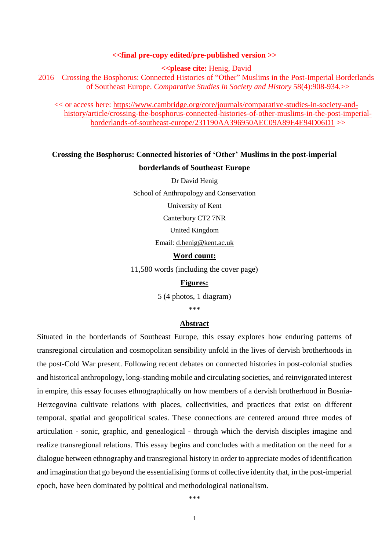#### **<<final pre-copy edited/pre-published version >>**

**<<please cite:** Henig, David

2016 Crossing the Bosphorus: Connected Histories of "Other" Muslims in the Post-Imperial Borderlands of Southeast Europe. *Comparative Studies in Society and History* 58(4):908-934.>>

<< or access here: [https://www.cambridge.org/core/journals/comparative-studies-in-society-and](https://www.cambridge.org/core/journals/comparative-studies-in-society-and-history/article/crossing-the-bosphorus-connected-histories-of-other-muslims-in-the-post-imperial-borderlands-of-southeast-europe/231190AA396950AEC09A89E4E94D06D1)[history/article/crossing-the-bosphorus-connected-histories-of-other-muslims-in-the-post-imperial](https://www.cambridge.org/core/journals/comparative-studies-in-society-and-history/article/crossing-the-bosphorus-connected-histories-of-other-muslims-in-the-post-imperial-borderlands-of-southeast-europe/231190AA396950AEC09A89E4E94D06D1)[borderlands-of-southeast-europe/231190AA396950AEC09A89E4E94D06D1](https://www.cambridge.org/core/journals/comparative-studies-in-society-and-history/article/crossing-the-bosphorus-connected-histories-of-other-muslims-in-the-post-imperial-borderlands-of-southeast-europe/231190AA396950AEC09A89E4E94D06D1) >>

# **Crossing the Bosphorus: Connected histories of 'Other' Muslims in the post-imperial**

#### **borderlands of Southeast Europe**

Dr David Henig

School of Anthropology and Conservation

University of Kent

Canterbury CT2 7NR

United Kingdom

Email: [d.henig@kent.ac.uk](mailto:d.henig@kent.ac.uk)

#### **Word count:**

11,580 words (including the cover page)

### **Figures:**

5 (4 photos, 1 diagram)

\*\*\*

#### **Abstract**

Situated in the borderlands of Southeast Europe, this essay explores how enduring patterns of transregional circulation and cosmopolitan sensibility unfold in the lives of dervish brotherhoods in the post-Cold War present. Following recent debates on connected histories in post-colonial studies and historical anthropology, long-standing mobile and circulating societies, and reinvigorated interest in empire, this essay focuses ethnographically on how members of a dervish brotherhood in Bosnia-Herzegovina cultivate relations with places, collectivities, and practices that exist on different temporal, spatial and geopolitical scales. These connections are centered around three modes of articulation - sonic, graphic, and genealogical - through which the dervish disciples imagine and realize transregional relations. This essay begins and concludes with a meditation on the need for a dialogue between ethnography and transregional history in order to appreciate modes of identification and imagination that go beyond the essentialising forms of collective identity that, in the post-imperial epoch, have been dominated by political and methodological nationalism.

\*\*\*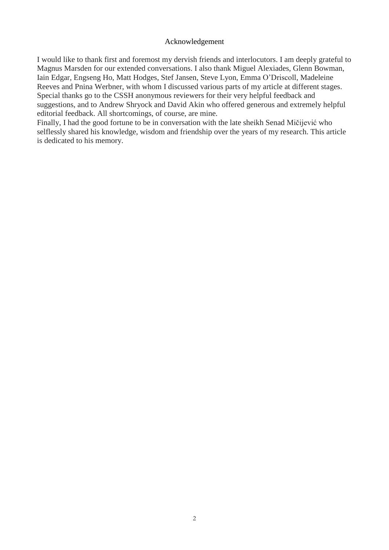### Acknowledgement

I would like to thank first and foremost my dervish friends and interlocutors. I am deeply grateful to Magnus Marsden for our extended conversations. I also thank Miguel Alexiades, Glenn Bowman, Iain Edgar, Engseng Ho, Matt Hodges, Stef Jansen, Steve Lyon, Emma O'Driscoll, Madeleine Reeves and Pnina Werbner, with whom I discussed various parts of my article at different stages. Special thanks go to the CSSH anonymous reviewers for their very helpful feedback and suggestions, and to Andrew Shryock and David Akin who offered generous and extremely helpful editorial feedback. All shortcomings, of course, are mine.

Finally, I had the good fortune to be in conversation with the late sheikh Senad Mičijević who selflessly shared his knowledge, wisdom and friendship over the years of my research. This article is dedicated to his memory.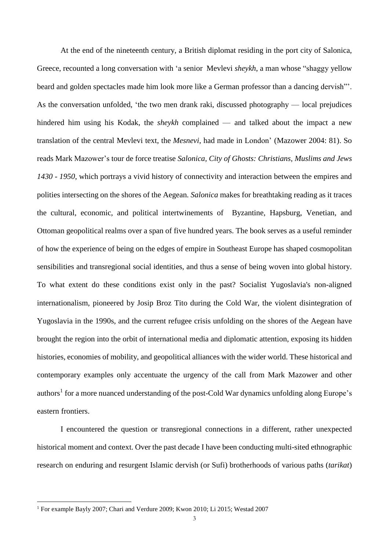At the end of the nineteenth century, a British diplomat residing in the port city of Salonica, Greece, recounted a long conversation with 'a senior Mevlevi *sheykh*, a man whose "shaggy yellow beard and golden spectacles made him look more like a German professor than a dancing dervish"'. As the conversation unfolded, 'the two men drank raki, discussed photography — local prejudices hindered him using his Kodak, the *sheykh* complained — and talked about the impact a new translation of the central Mevlevi text, the *Mesnevi*, had made in London' (Mazower 2004: 81). So reads Mark Mazower's tour de force treatise *Salonica, City of Ghosts: Christians, Muslims and Jews 1430 - 1950*, which portrays a vivid history of connectivity and interaction between the empires and polities intersecting on the shores of the Aegean. *Salonica* makes for breathtaking reading as it traces the cultural, economic, and political intertwinements of Byzantine, Hapsburg, Venetian, and Ottoman geopolitical realms over a span of five hundred years. The book serves as a useful reminder of how the experience of being on the edges of empire in Southeast Europe has shaped cosmopolitan sensibilities and transregional social identities, and thus a sense of being woven into global history. To what extent do these conditions exist only in the past? Socialist Yugoslavia's non-aligned internationalism, pioneered by Josip Broz Tito during the Cold War, the violent disintegration of Yugoslavia in the 1990s, and the current refugee crisis unfolding on the shores of the Aegean have brought the region into the orbit of international media and diplomatic attention, exposing its hidden histories, economies of mobility, and geopolitical alliances with the wider world. These historical and contemporary examples only accentuate the urgency of the call from Mark Mazower and other authors<sup>1</sup> for a more nuanced understanding of the post-Cold War dynamics unfolding along Europe's eastern frontiers.

I encountered the question or transregional connections in a different, rather unexpected historical moment and context. Over the past decade I have been conducting multi-sited ethnographic research on enduring and resurgent Islamic dervish (or Sufi) brotherhoods of various paths (*tarikat*)

<sup>1</sup> For example Bayly 2007; Chari and Verdure 2009; Kwon 2010; Li 2015; Westad 2007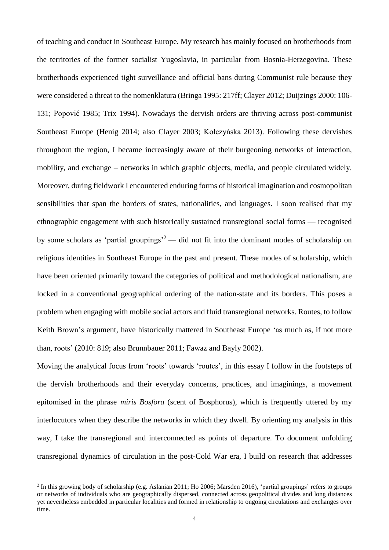of teaching and conduct in Southeast Europe. My research has mainly focused on brotherhoods from the territories of the former socialist Yugoslavia, in particular from Bosnia-Herzegovina. These brotherhoods experienced tight surveillance and official bans during Communist rule because they were considered a threat to the nomenklatura (Bringa 1995: 217ff; Clayer 2012; Duijzings 2000: 106- 131; Popović 1985; Trix 1994). Nowadays the dervish orders are thriving across post-communist Southeast Europe (Henig 2014; also Clayer 2003; Kołczyńska 2013). Following these dervishes throughout the region, I became increasingly aware of their burgeoning networks of interaction, mobility, and exchange – networks in which graphic objects, media, and people circulated widely. Moreover, during fieldwork I encountered enduring forms of historical imagination and cosmopolitan sensibilities that span the borders of states, nationalities, and languages. I soon realised that my ethnographic engagement with such historically sustained transregional social forms — recognised by some scholars as 'partial groupings'<sup>2</sup> — did not fit into the dominant modes of scholarship on religious identities in Southeast Europe in the past and present. These modes of scholarship, which have been oriented primarily toward the categories of political and methodological nationalism, are locked in a conventional geographical ordering of the nation-state and its borders. This poses a problem when engaging with mobile social actors and fluid transregional networks. Routes, to follow Keith Brown's argument, have historically mattered in Southeast Europe 'as much as, if not more than, roots' (2010: 819; also Brunnbauer 2011; Fawaz and Bayly 2002).

Moving the analytical focus from 'roots' towards 'routes', in this essay I follow in the footsteps of the dervish brotherhoods and their everyday concerns, practices, and imaginings, a movement epitomised in the phrase *miris Bosfora* (scent of Bosphorus), which is frequently uttered by my interlocutors when they describe the networks in which they dwell. By orienting my analysis in this way, I take the transregional and interconnected as points of departure. To document unfolding transregional dynamics of circulation in the post-Cold War era, I build on research that addresses

<sup>2</sup> In this growing body of scholarship (e.g. Aslanian 2011; Ho 2006; Marsden 2016), 'partial groupings' refers to groups or networks of individuals who are geographically dispersed, connected across geopolitical divides and long distances yet nevertheless embedded in particular localities and formed in relationship to ongoing circulations and exchanges over time.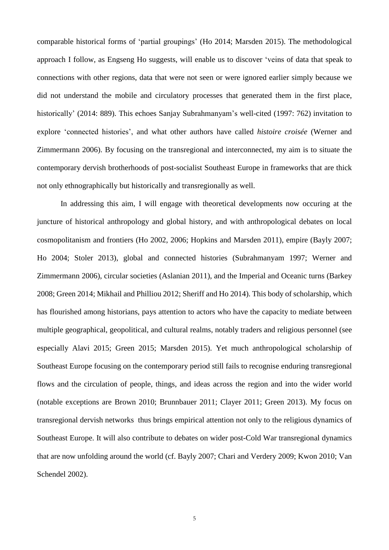comparable historical forms of 'partial groupings' (Ho 2014; Marsden 2015). The methodological approach I follow, as Engseng Ho suggests, will enable us to discover 'veins of data that speak to connections with other regions, data that were not seen or were ignored earlier simply because we did not understand the mobile and circulatory processes that generated them in the first place, historically' (2014: 889). This echoes Sanjay Subrahmanyam's well-cited (1997: 762) invitation to explore 'connected histories', and what other authors have called *histoire croisée* (Werner and Zimmermann 2006). By focusing on the transregional and interconnected, my aim is to situate the contemporary dervish brotherhoods of post-socialist Southeast Europe in frameworks that are thick not only ethnographically but historically and transregionally as well.

In addressing this aim, I will engage with theoretical developments now occuring at the juncture of historical anthropology and global history, and with anthropological debates on local cosmopolitanism and frontiers (Ho 2002, 2006; Hopkins and Marsden 2011), empire (Bayly 2007; Ho 2004; Stoler 2013), global and connected histories (Subrahmanyam 1997; Werner and Zimmermann 2006), circular societies (Aslanian 2011), and the Imperial and Oceanic turns (Barkey 2008; Green 2014; Mikhail and Philliou 2012; Sheriff and Ho 2014). This body of scholarship, which has flourished among historians, pays attention to actors who have the capacity to mediate between multiple geographical, geopolitical, and cultural realms, notably traders and religious personnel (see especially Alavi 2015; Green 2015; Marsden 2015). Yet much anthropological scholarship of Southeast Europe focusing on the contemporary period still fails to recognise enduring transregional flows and the circulation of people, things, and ideas across the region and into the wider world (notable exceptions are Brown 2010; Brunnbauer 2011; Clayer 2011; Green 2013). My focus on transregional dervish networks thus brings empirical attention not only to the religious dynamics of Southeast Europe. It will also contribute to debates on wider post-Cold War transregional dynamics that are now unfolding around the world (cf. Bayly 2007; Chari and Verdery 2009; Kwon 2010; Van Schendel 2002).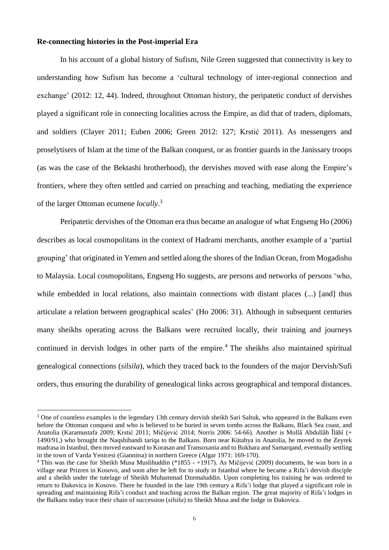### **Re-connecting histories in the Post-imperial Era**

 $\overline{a}$ 

In his account of a global history of Sufism, Nile Green suggested that connectivity is key to understanding how Sufism has become a 'cultural technology of inter-regional connection and exchange' (2012: 12, 44). Indeed, throughout Ottoman history, the peripatetic conduct of dervishes played a significant role in connecting localities across the Empire, as did that of traders, diplomats, and soldiers (Clayer 2011; Euben 2006; Green 2012: 127; Krstić 2011). As messengers and proselytisers of Islam at the time of the Balkan conquest, or as frontier guards in the Janissary troops (as was the case of the Bektashi brotherhood), the dervishes moved with ease along the Empire's frontiers, where they often settled and carried on preaching and teaching, mediating the experience of the larger Ottoman ecumene *locally*. 3

Peripatetic dervishes of the Ottoman era thus became an analogue of what Engseng Ho (2006) describes as local cosmopolitans in the context of Hadrami merchants, another example of a 'partial grouping' that originated in Yemen and settled along the shores of the Indian Ocean, from Mogadishu to Malaysia. Local cosmopolitans, Engseng Ho suggests, are persons and networks of persons 'who, while embedded in local relations, also maintain connections with distant places  $(...)$  [and] thus articulate a relation between geographical scales' (Ho 2006: 31). Although in subsequent centuries many sheikhs operating across the Balkans were recruited locally, their training and journeys continued in dervish lodges in other parts of the empire.<sup>4</sup> The sheikhs also maintained spiritual genealogical connections (*silsila*), which they traced back to the founders of the major Dervish/Sufi orders, thus ensuring the durability of genealogical links across geographical and temporal distances.

<sup>&</sup>lt;sup>3</sup> One of countless examples is the legendary 13th century dervish sheikh Sari Saltuk, who appeared in the Balkans even before the Ottoman conquest and who is believed to be buried in seven tombs across the Balkans, Black Sea coast, and Anatolia (Karamustafa 2009; Krstić 2011; Mičijević 2014; Norris 2006: 54-66). Another is Mollâ Abdullâh Īlâhî (+ 1490/91,) who brought the Naqshibandi tariqa to the Balkans. Born near Kütahya in Anatolia, he moved to the Zeyrek madrasa in Istanbul, then moved eastward to Korasan and Transoxania and to Bukhara and Samarqand, eventually settling in the town of Varda Yenicesi (Giannitsa) in northern Greece (Algar 1971: 169-170).

<sup>&</sup>lt;sup>4</sup> This was the case for Sheikh Musa Muslihuddin (\*1855 - +1917). As Mičijević (2009) documents, he was born in a village near Prizren in Kosovo, and soon after he left for to study in Istanbul where he became a Rifa'i dervish disciple and a sheikh under the tutelage of Sheikh Muhammad Dzemaluddin. Upon completing his training he was ordered to return to Ðakovica in Kosovo. There he founded in the late 19th century a Rifa'i lodge that played a significant role in spreading and maintaining Rifa'i conduct and teaching across the Balkan region. The great majority of Rifa'i lodges in the Balkans today trace their chain of succession (*silsila*) to Sheikh Musa and the lodge in Ðakovica.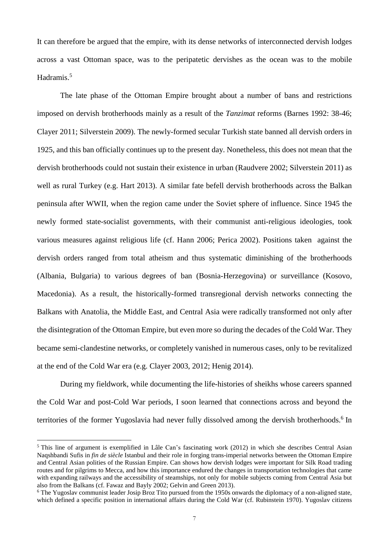It can therefore be argued that the empire, with its dense networks of interconnected dervish lodges across a vast Ottoman space, was to the peripatetic dervishes as the ocean was to the mobile Hadramis.<sup>5</sup>

The late phase of the Ottoman Empire brought about a number of bans and restrictions imposed on dervish brotherhoods mainly as a result of the *Tanzimat* reforms (Barnes 1992: 38-46; Clayer 2011; Silverstein 2009). The newly-formed secular Turkish state banned all dervish orders in 1925, and this ban officially continues up to the present day. Nonetheless, this does not mean that the dervish brotherhoods could not sustain their existence in urban (Raudvere 2002; Silverstein 2011) as well as rural Turkey (e.g. Hart 2013). A similar fate befell dervish brotherhoods across the Balkan peninsula after WWII, when the region came under the Soviet sphere of influence. Since 1945 the newly formed state-socialist governments, with their communist anti-religious ideologies, took various measures against religious life (cf. Hann 2006; Perica 2002). Positions taken against the dervish orders ranged from total atheism and thus systematic diminishing of the brotherhoods (Albania, Bulgaria) to various degrees of ban (Bosnia-Herzegovina) or surveillance (Kosovo, Macedonia). As a result, the historically-formed transregional dervish networks connecting the Balkans with Anatolia, the Middle East, and Central Asia were radically transformed not only after the disintegration of the Ottoman Empire, but even more so during the decades of the Cold War. They became semi-clandestine networks, or completely vanished in numerous cases, only to be revitalized at the end of the Cold War era (e.g. Clayer 2003, 2012; Henig 2014).

During my fieldwork, while documenting the life-histories of sheikhs whose careers spanned the Cold War and post-Cold War periods, I soon learned that connections across and beyond the territories of the former Yugoslavia had never fully dissolved among the dervish brotherhoods.<sup>6</sup> In

<sup>&</sup>lt;sup>5</sup> This line of argument is exemplified in Lâle Can's fascinating work (2012) in which she describes Central Asian Naqshbandi Sufis in *fin de siècle* Istanbul and their role in forging trans-imperial networks between the Ottoman Empire and Central Asian polities of the Russian Empire. Can shows how dervish lodges were important for Silk Road trading routes and for pilgrims to Mecca, and how this importance endured the changes in transportation technologies that came with expanding railways and the accessibility of steamships, not only for mobile subjects coming from Central Asia but also from the Balkans (cf. Fawaz and Bayly 2002; Gelvin and Green 2013).

<sup>6</sup> The Yugoslav communist leader Josip Broz Tito pursued from the 1950s onwards the diplomacy of a non-aligned state, which defined a specific position in international affairs during the Cold War (cf. Rubinstein 1970). Yugoslav citizens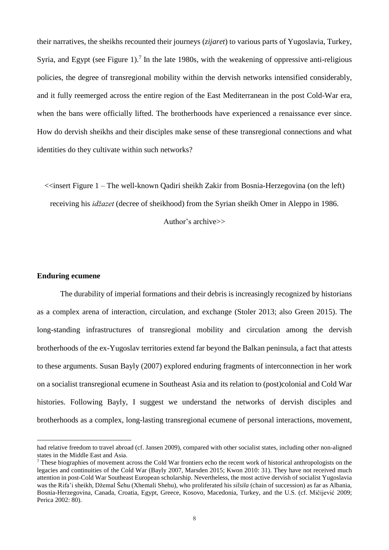their narratives, the sheikhs recounted their journeys (*zijaret*) to various parts of Yugoslavia, Turkey, Syria, and Egypt (see Figure 1).<sup>7</sup> In the late 1980s, with the weakening of oppressive anti-religious policies, the degree of transregional mobility within the dervish networks intensified considerably, and it fully reemerged across the entire region of the East Mediterranean in the post Cold-War era, when the bans were officially lifted. The brotherhoods have experienced a renaissance ever since. How do dervish sheikhs and their disciples make sense of these transregional connections and what identities do they cultivate within such networks?

 $\le$ insert Figure 1 – The well-known Qadiri sheikh Zakir from Bosnia-Herzegovina (on the left)

receiving his *idžazet* (decree of sheikhood) from the Syrian sheikh Omer in Aleppo in 1986.

Author's archive>>

# **Enduring ecumene**

 $\overline{a}$ 

The durability of imperial formations and their debris is increasingly recognized by historians as a complex arena of interaction, circulation, and exchange (Stoler 2013; also Green 2015). The long-standing infrastructures of transregional mobility and circulation among the dervish brotherhoods of the ex-Yugoslav territories extend far beyond the Balkan peninsula, a fact that attests to these arguments. Susan Bayly (2007) explored enduring fragments of interconnection in her work on a socialist transregional ecumene in Southeast Asia and its relation to (post)colonial and Cold War histories. Following Bayly, I suggest we understand the networks of dervish disciples and brotherhoods as a complex, long-lasting transregional ecumene of personal interactions, movement,

had relative freedom to travel abroad (cf. Jansen 2009), compared with other socialist states, including other non-aligned states in the Middle East and Asia.

<sup>7</sup> These biographies of movement across the Cold War frontiers echo the recent work of historical anthropologists on the legacies and continuities of the Cold War (Bayly 2007, Marsden 2015; Kwon 2010: 31). They have not received much attention in post-Cold War Southeast European scholarship. Nevertheless, the most active dervish of socialist Yugoslavia was the Rifa'i sheikh, Džemal Šehu (Xhemali Shehu), who proliferated his *silsila* (chain of succession) as far as Albania, Bosnia-Herzegovina, Canada, Croatia, Egypt, Greece, Kosovo, Macedonia, Turkey, and the U.S. (cf. Mičijević 2009; Perica 2002: 80).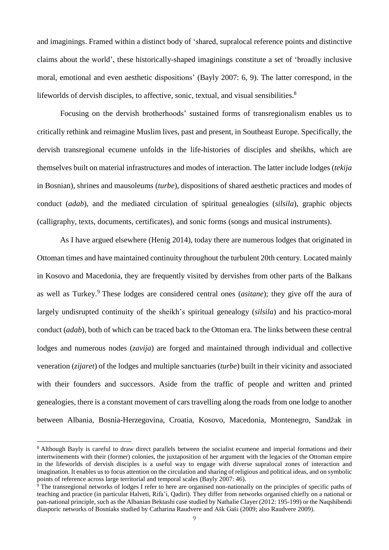and imaginings. Framed within a distinct body of 'shared, supralocal reference points and distinctive claims about the world', these historically-shaped imaginings constitute a set of 'broadly inclusive moral, emotional and even aesthetic dispositions' (Bayly 2007: 6, 9). The latter correspond, in the lifeworlds of dervish disciples, to affective, sonic, textual, and visual sensibilities.<sup>8</sup>

Focusing on the dervish brotherhoods' sustained forms of transregionalism enables us to critically rethink and reimagine Muslim lives, past and present, in Southeast Europe. Specifically, the dervish transregional ecumene unfolds in the life-histories of disciples and sheikhs, which are themselves built on material infrastructures and modes of interaction. The latter include lodges (*tekija* in Bosnian), shrines and mausoleums (*turbe*), dispositions of shared aesthetic practices and modes of conduct (*adab*), and the mediated circulation of spiritual genealogies (*silsila*), graphic objects (calligraphy, texts, documents, certificates), and sonic forms (songs and musical instruments).

As I have argued elsewhere (Henig 2014), today there are numerous lodges that originated in Ottoman times and have maintained continuity throughout the turbulent 20th century. Located mainly in Kosovo and Macedonia, they are frequently visited by dervishes from other parts of the Balkans as well as Turkey.<sup>9</sup> These lodges are considered central ones (*asitane*); they give off the aura of largely undisrupted continuity of the sheikh's spiritual genealogy (*silsila*) and his practico-moral conduct (*adab*), both of which can be traced back to the Ottoman era. The links between these central lodges and numerous nodes (*zavija*) are forged and maintained through individual and collective veneration (*zijaret*) of the lodges and multiple sanctuaries (*turbe*) built in their vicinity and associated with their founders and successors. Aside from the traffic of people and written and printed genealogies, there is a constant movement of cars travelling along the roads from one lodge to another between Albania, Bosnia-Herzegovina, Croatia, Kosovo, Macedonia, Montenegro, Sandžak in

<sup>8</sup> Although Bayly is careful to draw direct parallels between the socialist ecumene and imperial formations and their intertwinements with their (former) colonies, the juxtaposition of her argument with the legacies of the Ottoman empire in the lifeworlds of dervish disciples is a useful way to engage with diverse supralocal zones of interaction and imagination. It enables us to focus attention on the circulation and sharing of religious and political ideas, and on symbolic points of reference across large territorial and temporal scales (Bayly 2007: 46).

<sup>&</sup>lt;sup>9</sup> The transregional networks of lodges I refer to here are organised non-nationally on the principles of specific paths of teaching and practice (in particular Halveti, Rifa'i, Qadiri). They differ from networks organised chiefly on a national or pan-national principle, such as the Albanian Bektashi case studied by Nathalie Clayer (2012: 195-199) or the Naqshibendi diasporic networks of Bosniaks studied by Catharina Raudvere and Ašk Gaši (2009; also Raudvere 2009).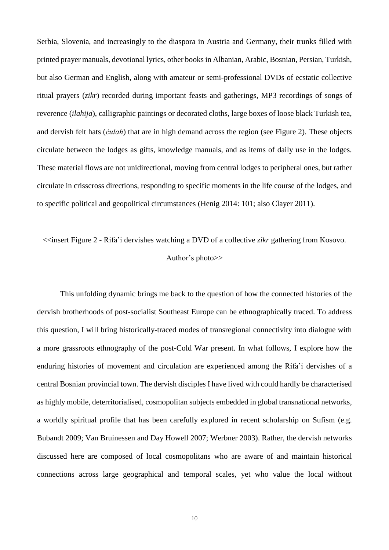Serbia, Slovenia, and increasingly to the diaspora in Austria and Germany, their trunks filled with printed prayer manuals, devotional lyrics, other booksin Albanian, Arabic, Bosnian, Persian, Turkish, but also German and English, along with amateur or semi-professional DVDs of ecstatic collective ritual prayers (*zikr*) recorded during important feasts and gatherings, MP3 recordings of songs of reverence (*ilahija*), calligraphic paintings or decorated cloths, large boxes of loose black Turkish tea, and dervish felt hats (*ćulah*) that are in high demand across the region (see Figure 2). These objects circulate between the lodges as gifts, knowledge manuals, and as items of daily use in the lodges. These material flows are not unidirectional, moving from central lodges to peripheral ones, but rather circulate in crisscross directions, responding to specific moments in the life course of the lodges, and to specific political and geopolitical circumstances (Henig 2014: 101; also Clayer 2011).

# <<insert Figure 2 - Rifa'i dervishes watching a DVD of a collective *zikr* gathering from Kosovo. Author's photo>>

This unfolding dynamic brings me back to the question of how the connected histories of the dervish brotherhoods of post-socialist Southeast Europe can be ethnographically traced. To address this question, I will bring historically-traced modes of transregional connectivity into dialogue with a more grassroots ethnography of the post-Cold War present. In what follows, I explore how the enduring histories of movement and circulation are experienced among the Rifa'i dervishes of a central Bosnian provincial town. The dervish disciples I have lived with could hardly be characterised as highly mobile, deterritorialised, cosmopolitan subjects embedded in global transnational networks, a worldly spiritual profile that has been carefully explored in recent scholarship on Sufism (e.g. Bubandt 2009; Van Bruinessen and Day Howell 2007; Werbner 2003). Rather, the dervish networks discussed here are composed of local cosmopolitans who are aware of and maintain historical connections across large geographical and temporal scales, yet who value the local without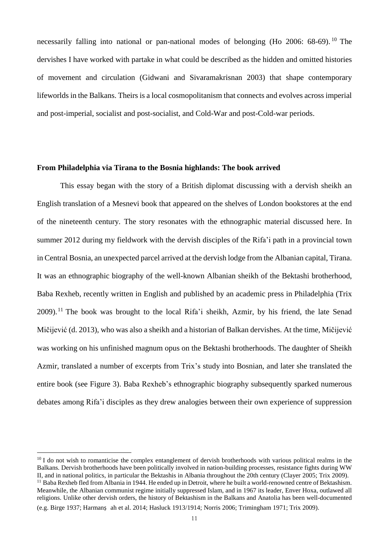necessarily falling into national or pan-national modes of belonging (Ho 2006: 68-69).<sup>10</sup> The dervishes I have worked with partake in what could be described as the hidden and omitted histories of movement and circulation (Gidwani and Sivaramakrisnan 2003) that shape contemporary lifeworlds in the Balkans. Theirs is a local cosmopolitanism that connects and evolves across imperial and post-imperial, socialist and post-socialist, and Cold-War and post-Cold-war periods.

## **From Philadelphia via Tirana to the Bosnia highlands: The book arrived**

This essay began with the story of a British diplomat discussing with a dervish sheikh an English translation of a Mesnevi book that appeared on the shelves of London bookstores at the end of the nineteenth century. The story resonates with the ethnographic material discussed here. In summer 2012 during my fieldwork with the dervish disciples of the Rifa'i path in a provincial town in Central Bosnia, an unexpected parcel arrived at the dervish lodge from the Albanian capital, Tirana. It was an ethnographic biography of the well-known Albanian sheikh of the Bektashi brotherhood, Baba Rexheb, recently written in English and published by an academic press in Philadelphia (Trix  $2009$ .<sup>11</sup> The book was brought to the local Rifa'i sheikh, Azmir, by his friend, the late Senad Mičijević (d. 2013), who was also a sheikh and a historian of Balkan dervishes. At the time, Mičijević was working on his unfinished magnum opus on the Bektashi brotherhoods. The daughter of Sheikh Azmir, translated a number of excerpts from Trix's study into Bosnian, and later she translated the entire book (see Figure 3). Baba Rexheb's ethnographic biography subsequently sparked numerous debates among Rifa'i disciples as they drew analogies between their own experience of suppression

 $10$  I do not wish to romanticise the complex entanglement of dervish brotherhoods with various political realms in the Balkans. Dervish brotherhoods have been politically involved in nation-building processes, resistance fights during WW II, and in national politics, in particular the Bektashis in Albania throughout the 20th century (Clayer 2005; Trix 2009).

 $11$  Baba Rexheb fled from Albania in 1944. He ended up in Detroit, where he built a world-renowned centre of Bektashism. Meanwhile, the Albanian communist regime initially suppressed Islam, and in 1967 its leader, Enver Hoxa, outlawed all religions. Unlike other dervish orders, the history of Bektashism in the Balkans and Anatolia has been well-documented (e.g. Birge 1937; Harmanș ah et al. 2014; Hasluck 1913/1914; Norris 2006; Trimingham 1971; Trix 2009).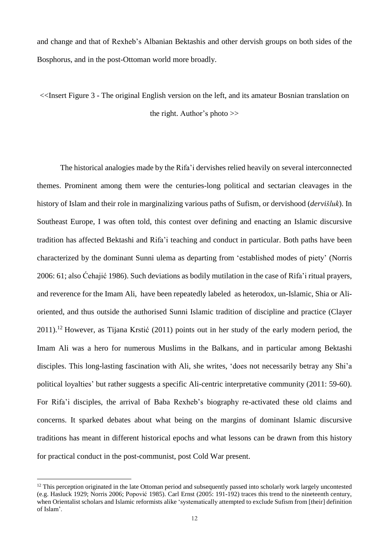and change and that of Rexheb's Albanian Bektashis and other dervish groups on both sides of the Bosphorus, and in the post-Ottoman world more broadly.

<<Insert Figure 3 - The original English version on the left, and its amateur Bosnian translation on the right. Author's photo >>

The historical analogies made by the Rifa'i dervishes relied heavily on several interconnected themes. Prominent among them were the centuries-long political and sectarian cleavages in the history of Islam and their role in marginalizing various paths of Sufism, or dervishood (*dervišluk*). In Southeast Europe, I was often told, this contest over defining and enacting an Islamic discursive tradition has affected Bektashi and Rifa'i teaching and conduct in particular. Both paths have been characterized by the dominant Sunni ulema as departing from 'established modes of piety' (Norris 2006: 61; also Ćehajić 1986). Such deviations as bodily mutilation in the case of Rifa'i ritual prayers, and reverence for the Imam Ali, have been repeatedly labeled as heterodox, un-Islamic, Shia or Alioriented, and thus outside the authorised Sunni Islamic tradition of discipline and practice (Clayer  $2011$ <sup>12</sup> However, as Tijana Krstić (2011) points out in her study of the early modern period, the Imam Ali was a hero for numerous Muslims in the Balkans, and in particular among Bektashi disciples. This long-lasting fascination with Ali, she writes, 'does not necessarily betray any Shi'a political loyalties' but rather suggests a specific Ali-centric interpretative community (2011: 59-60). For Rifa'i disciples, the arrival of Baba Rexheb's biography re-activated these old claims and concerns. It sparked debates about what being on the margins of dominant Islamic discursive traditions has meant in different historical epochs and what lessons can be drawn from this history for practical conduct in the post-communist, post Cold War present.

<sup>&</sup>lt;sup>12</sup> This perception originated in the late Ottoman period and subsequently passed into scholarly work largely uncontested (e.g. Hasluck 1929; Norris 2006; Popović 1985). Carl Ernst (2005: 191-192) traces this trend to the nineteenth century, when Orientalist scholars and Islamic reformists alike 'systematically attempted to exclude Sufism from [their] definition of Islam'.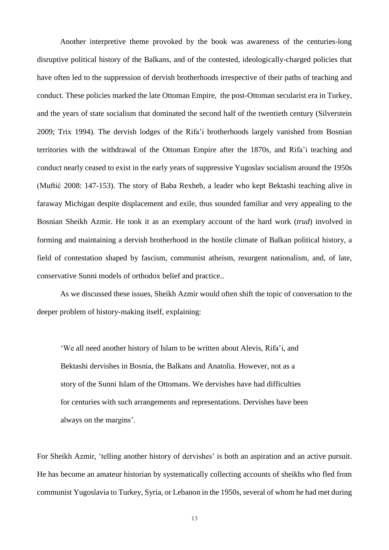Another interpretive theme provoked by the book was awareness of the centuries-long disruptive political history of the Balkans, and of the contested, ideologically-charged policies that have often led to the suppression of dervish brotherhoods irrespective of their paths of teaching and conduct. These policies marked the late Ottoman Empire, the post-Ottoman secularist era in Turkey, and the years of state socialism that dominated the second half of the twentieth century (Silverstein 2009; Trix 1994). The dervish lodges of the Rifa'i brotherhoods largely vanished from Bosnian territories with the withdrawal of the Ottoman Empire after the 1870s, and Rifa'i teaching and conduct nearly ceased to exist in the early years of suppressive Yugoslav socialism around the 1950s (Muftić 2008: 147-153). The story of Baba Rexheb, a leader who kept Bektashi teaching alive in faraway Michigan despite displacement and exile, thus sounded familiar and very appealing to the Bosnian Sheikh Azmir. He took it as an exemplary account of the hard work (*trud*) involved in forming and maintaining a dervish brotherhood in the hostile climate of Balkan political history, a field of contestation shaped by fascism, communist atheism, resurgent nationalism, and, of late, conservative Sunni models of orthodox belief and practice..

As we discussed these issues, Sheikh Azmir would often shift the topic of conversation to the deeper problem of history-making itself, explaining:

'We all need another history of Islam to be written about Alevis, Rifa'i, and Bektashi dervishes in Bosnia, the Balkans and Anatolia. However, not as a story of the Sunni Islam of the Ottomans. We dervishes have had difficulties for centuries with such arrangements and representations. Dervishes have been always on the margins'.

For Sheikh Azmir, 'telling another history of dervishes' is both an aspiration and an active pursuit. He has become an amateur historian by systematically collecting accounts of sheikhs who fled from communist Yugoslavia to Turkey, Syria, or Lebanon in the 1950s, several of whom he had met during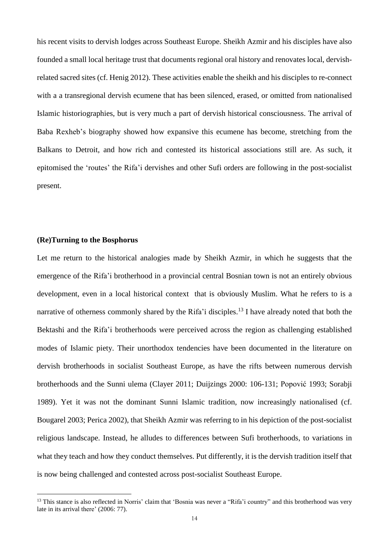his recent visits to dervish lodges across Southeast Europe. Sheikh Azmir and his disciples have also founded a small local heritage trust that documents regional oral history and renovates local, dervishrelated sacred sites (cf. Henig 2012). These activities enable the sheikh and his disciples to re-connect with a a transregional dervish ecumene that has been silenced, erased, or omitted from nationalised Islamic historiographies, but is very much a part of dervish historical consciousness. The arrival of Baba Rexheb's biography showed how expansive this ecumene has become, stretching from the Balkans to Detroit, and how rich and contested its historical associations still are. As such, it epitomised the 'routes' the Rifa'i dervishes and other Sufi orders are following in the post-socialist present.

# **(Re)Turning to the Bosphorus**

 $\overline{a}$ 

Let me return to the historical analogies made by Sheikh Azmir, in which he suggests that the emergence of the Rifa'i brotherhood in a provincial central Bosnian town is not an entirely obvious development, even in a local historical context that is obviously Muslim. What he refers to is a narrative of otherness commonly shared by the Rifa'i disciples.<sup>13</sup> I have already noted that both the Bektashi and the Rifa'i brotherhoods were perceived across the region as challenging established modes of Islamic piety. Their unorthodox tendencies have been documented in the literature on dervish brotherhoods in socialist Southeast Europe, as have the rifts between numerous dervish brotherhoods and the Sunni ulema (Clayer 2011; Duijzings 2000: 106-131; Popović 1993; Sorabji 1989). Yet it was not the dominant Sunni Islamic tradition, now increasingly nationalised (cf. Bougarel 2003; Perica 2002), that Sheikh Azmir was referring to in his depiction of the post-socialist religious landscape. Instead, he alludes to differences between Sufi brotherhoods, to variations in what they teach and how they conduct themselves. Put differently, it is the dervish tradition itself that is now being challenged and contested across post-socialist Southeast Europe.

<sup>&</sup>lt;sup>13</sup> This stance is also reflected in Norris' claim that 'Bosnia was never a "Rifa'i country" and this brotherhood was very late in its arrival there' (2006: 77).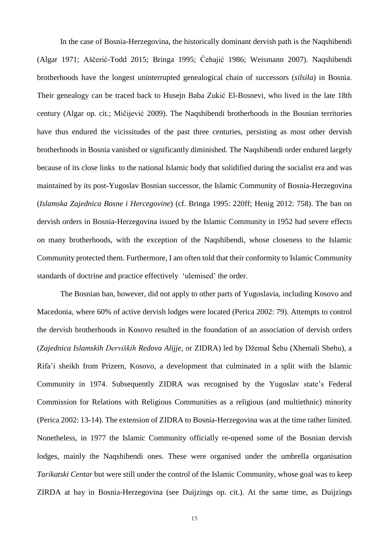In the case of Bosnia-Herzegovina, the historically dominant dervish path is the Naqshibendi (Algar 1971; Aščerić-Todd 2015; Bringa 1995; Ćehajić 1986; Weismann 2007). Naqshibendi brotherhoods have the longest uninterrupted genealogical chain of successors (*silsila*) in Bosnia. Their genealogy can be traced back to Husejn Baba Zukić El-Bosnevi, who lived in the late 18th century (Algar op. cit.; Mičijević 2009). The Naqshibendi brotherhoods in the Bosnian territories have thus endured the vicissitudes of the past three centuries, persisting as most other dervish brotherhoods in Bosnia vanished or significantly diminished. The Naqshibendi order endured largely because of its close links to the national Islamic body that solidified during the socialist era and was maintained by its post-Yugoslav Bosnian successor, the Islamic Community of Bosnia-Herzegovina (*Islamska Zajednica Bosne i Hercegovine*) (cf. Bringa 1995: 220ff; Henig 2012: 758). The ban on dervish orders in Bosnia-Herzegovina issued by the Islamic Community in 1952 had severe effects on many brotherhoods, with the exception of the Naqshibendi, whose closeness to the Islamic Community protected them. Furthermore, I am often told that their conformity to Islamic Community standards of doctrine and practice effectively 'ulemised' the order.

The Bosnian ban, however, did not apply to other parts of Yugoslavia, including Kosovo and Macedonia, where 60% of active dervish lodges were located (Perica 2002: 79). Attempts to control the dervish brotherhoods in Kosovo resulted in the foundation of an association of dervish orders (*Zajednica Islamskih Derviških Redova Alijje*, or ZIDRA) led by Džemal Šehu (Xhemali Shehu), a Rifa'i sheikh from Prizern, Kosovo, a development that culminated in a split with the Islamic Community in 1974. Subsequently ZIDRA was recognised by the Yugoslav state's Federal Commission for Relations with Religious Communities as a religious (and multiethnic) minority (Perica 2002: 13-14). The extension of ZIDRA to Bosnia-Herzegovina was at the time rather limited. Nonetheless, in 1977 the Islamic Community officially re-opened some of the Bosnian dervish lodges, mainly the Naqshibendi ones. These were organised under the umbrella organisation *Tarikatski Centar* but were still under the control of the Islamic Community, whose goal was to keep ZIRDA at bay in Bosnia-Herzegovina (see Duijzings op. cit.). At the same time, as Duijzings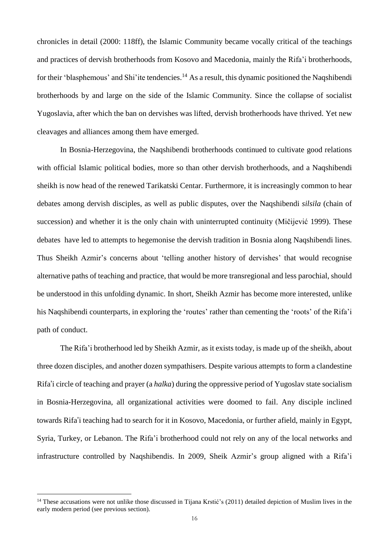chronicles in detail (2000: 118ff), the Islamic Community became vocally critical of the teachings and practices of dervish brotherhoods from Kosovo and Macedonia, mainly the Rifa'i brotherhoods, for their 'blasphemous' and Shi'ite tendencies.<sup>14</sup> As a result, this dynamic positioned the Naqshibendi brotherhoods by and large on the side of the Islamic Community. Since the collapse of socialist Yugoslavia, after which the ban on dervishes was lifted, dervish brotherhoods have thrived. Yet new cleavages and alliances among them have emerged.

In Bosnia-Herzegovina, the Naqshibendi brotherhoods continued to cultivate good relations with official Islamic political bodies, more so than other dervish brotherhoods, and a Naqshibendi sheikh is now head of the renewed Tarikatski Centar. Furthermore, it is increasingly common to hear debates among dervish disciples, as well as public disputes, over the Naqshibendi *silsila* (chain of succession) and whether it is the only chain with uninterrupted continuity (Mičijević 1999). These debates have led to attempts to hegemonise the dervish tradition in Bosnia along Naqshibendi lines. Thus Sheikh Azmir's concerns about 'telling another history of dervishes' that would recognise alternative paths of teaching and practice, that would be more transregional and less parochial, should be understood in this unfolding dynamic. In short, Sheikh Azmir has become more interested, unlike his Naqshibendi counterparts, in exploring the 'routes' rather than cementing the 'roots' of the Rifa'i path of conduct.

The Rifa'i brotherhood led by Sheikh Azmir, as it exists today, is made up of the sheikh, about three dozen disciples, and another dozen sympathisers. Despite various attempts to form a clandestine Rifa'i circle of teaching and prayer (a *halka*) during the oppressive period of Yugoslav state socialism in Bosnia-Herzegovina, all organizational activities were doomed to fail. Any disciple inclined towards Rifa'i teaching had to search for it in Kosovo, Macedonia, or further afield, mainly in Egypt, Syria, Turkey, or Lebanon. The Rifa'i brotherhood could not rely on any of the local networks and infrastructure controlled by Naqshibendis. In 2009, Sheik Azmir's group aligned with a Rifa'i

<sup>&</sup>lt;sup>14</sup> These accusations were not unlike those discussed in Tijana Krstić's (2011) detailed depiction of Muslim lives in the early modern period (see previous section).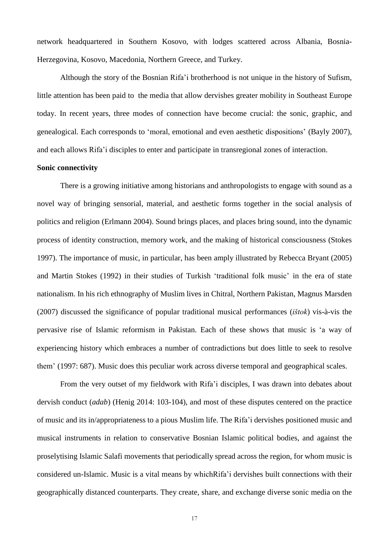network headquartered in Southern Kosovo, with lodges scattered across Albania, Bosnia-Herzegovina, Kosovo, Macedonia, Northern Greece, and Turkey.

Although the story of the Bosnian Rifa'i brotherhood is not unique in the history of Sufism, little attention has been paid to the media that allow dervishes greater mobility in Southeast Europe today. In recent years, three modes of connection have become crucial: the sonic, graphic, and genealogical. Each corresponds to 'moral, emotional and even aesthetic dispositions' (Bayly 2007), and each allows Rifa'i disciples to enter and participate in transregional zones of interaction.

#### **Sonic connectivity**

There is a growing initiative among historians and anthropologists to engage with sound as a novel way of bringing sensorial, material, and aesthetic forms together in the social analysis of politics and religion (Erlmann 2004). Sound brings places, and places bring sound, into the dynamic process of identity construction, memory work, and the making of historical consciousness (Stokes 1997). The importance of music, in particular, has been amply illustrated by Rebecca Bryant (2005) and Martin Stokes (1992) in their studies of Turkish 'traditional folk music' in the era of state nationalism. In his rich ethnography of Muslim lives in Chitral, Northern Pakistan, Magnus Marsden (2007) discussed the significance of popular traditional musical performances (*ištok*) vis-à-vis the pervasive rise of Islamic reformism in Pakistan. Each of these shows that music is 'a way of experiencing history which embraces a number of contradictions but does little to seek to resolve them' (1997: 687). Music does this peculiar work across diverse temporal and geographical scales.

From the very outset of my fieldwork with Rifa'i disciples, I was drawn into debates about dervish conduct (*adab*) (Henig 2014: 103-104), and most of these disputes centered on the practice of music and its in/appropriateness to a pious Muslim life. The Rifa'i dervishes positioned music and musical instruments in relation to conservative Bosnian Islamic political bodies, and against the proselytising Islamic Salafi movements that periodically spread across the region, for whom music is considered un-Islamic. Music is a vital means by whichRifa'i dervishes built connections with their geographically distanced counterparts. They create, share, and exchange diverse sonic media on the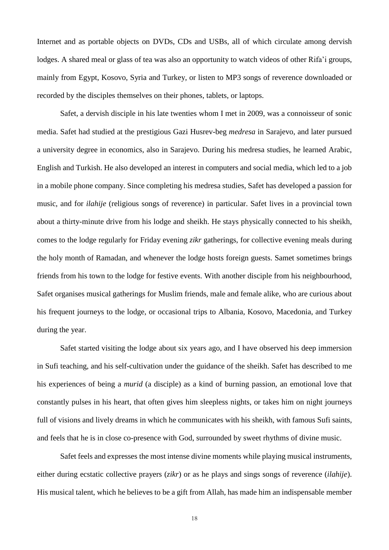Internet and as portable objects on DVDs, CDs and USBs, all of which circulate among dervish lodges. A shared meal or glass of tea was also an opportunity to watch videos of other Rifa'i groups, mainly from Egypt, Kosovo, Syria and Turkey, or listen to MP3 songs of reverence downloaded or recorded by the disciples themselves on their phones, tablets, or laptops.

Safet, a dervish disciple in his late twenties whom I met in 2009, was a connoisseur of sonic media. Safet had studied at the prestigious Gazi Husrev-beg *medresa* in Sarajevo, and later pursued a university degree in economics, also in Sarajevo. During his medresa studies, he learned Arabic, English and Turkish. He also developed an interest in computers and social media, which led to a job in a mobile phone company. Since completing his medresa studies, Safet has developed a passion for music, and for *ilahije* (religious songs of reverence) in particular. Safet lives in a provincial town about a thirty-minute drive from his lodge and sheikh. He stays physically connected to his sheikh, comes to the lodge regularly for Friday evening *zikr* gatherings, for collective evening meals during the holy month of Ramadan, and whenever the lodge hosts foreign guests. Samet sometimes brings friends from his town to the lodge for festive events. With another disciple from his neighbourhood, Safet organises musical gatherings for Muslim friends, male and female alike, who are curious about his frequent journeys to the lodge, or occasional trips to Albania, Kosovo, Macedonia, and Turkey during the year.

Safet started visiting the lodge about six years ago, and I have observed his deep immersion in Sufi teaching, and his self-cultivation under the guidance of the sheikh. Safet has described to me his experiences of being a *murid* (a disciple) as a kind of burning passion, an emotional love that constantly pulses in his heart, that often gives him sleepless nights, or takes him on night journeys full of visions and lively dreams in which he communicates with his sheikh, with famous Sufi saints, and feels that he is in close co-presence with God, surrounded by sweet rhythms of divine music.

Safet feels and expresses the most intense divine moments while playing musical instruments, either during ecstatic collective prayers (*zikr*) or as he plays and sings songs of reverence (*ilahije*). His musical talent, which he believes to be a gift from Allah, has made him an indispensable member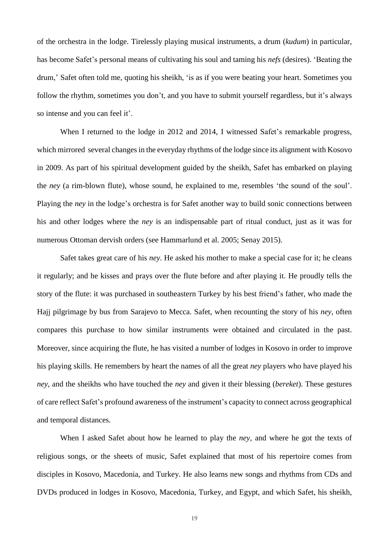of the orchestra in the lodge. Tirelessly playing musical instruments, a drum (*kudum*) in particular, has become Safet's personal means of cultivating his soul and taming his *nefs* (desires). 'Beating the drum,' Safet often told me, quoting his sheikh, 'is as if you were beating your heart. Sometimes you follow the rhythm, sometimes you don't, and you have to submit yourself regardless, but it's always so intense and you can feel it'.

When I returned to the lodge in 2012 and 2014, I witnessed Safet's remarkable progress, which mirrored several changes in the everyday rhythms of the lodge since its alignment with Kosovo in 2009. As part of his spiritual development guided by the sheikh, Safet has embarked on playing the *ney* (a rim-blown flute), whose sound, he explained to me, resembles 'the sound of the soul'. Playing the *ney* in the lodge's orchestra is for Safet another way to build sonic connections between his and other lodges where the *ney* is an indispensable part of ritual conduct, just as it was for numerous Ottoman dervish orders (see Hammarlund et al. 2005; Senay 2015).

Safet takes great care of his *ney*. He asked his mother to make a special case for it; he cleans it regularly; and he kisses and prays over the flute before and after playing it. He proudly tells the story of the flute: it was purchased in southeastern Turkey by his best friend's father, who made the Hajj pilgrimage by bus from Sarajevo to Mecca. Safet, when recounting the story of his *ney*, often compares this purchase to how similar instruments were obtained and circulated in the past. Moreover, since acquiring the flute, he has visited a number of lodges in Kosovo in order to improve his playing skills. He remembers by heart the names of all the great *ney* players who have played his *ney*, and the sheikhs who have touched the *ney* and given it their blessing (*bereket*). These gestures of care reflect Safet's profound awareness of the instrument's capacity to connect across geographical and temporal distances.

When I asked Safet about how he learned to play the *ney*, and where he got the texts of religious songs, or the sheets of music, Safet explained that most of his repertoire comes from disciples in Kosovo, Macedonia, and Turkey. He also learns new songs and rhythms from CDs and DVDs produced in lodges in Kosovo, Macedonia, Turkey, and Egypt, and which Safet, his sheikh,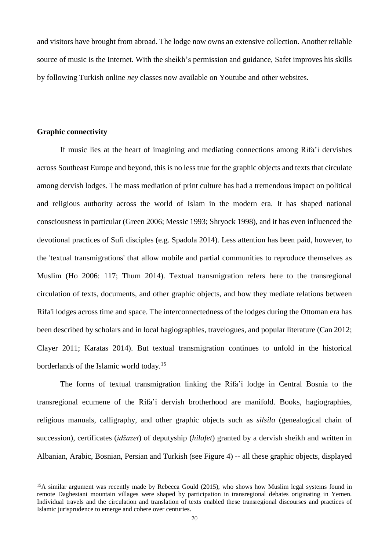and visitors have brought from abroad. The lodge now owns an extensive collection. Another reliable source of music is the Internet. With the sheikh's permission and guidance, Safet improves his skills by following Turkish online *ney* classes now available on Youtube and other websites.

#### **Graphic connectivity**

 $\overline{a}$ 

If music lies at the heart of imagining and mediating connections among Rifa'i dervishes across Southeast Europe and beyond, this is no less true for the graphic objects and texts that circulate among dervish lodges. The mass mediation of print culture has had a tremendous impact on political and religious authority across the world of Islam in the modern era. It has shaped national consciousness in particular (Green 2006; Messic 1993; Shryock 1998), and it has even influenced the devotional practices of Sufi disciples (e.g. Spadola 2014). Less attention has been paid, however, to the 'textual transmigrations' that allow mobile and partial communities to reproduce themselves as Muslim (Ho 2006: 117; Thum 2014). Textual transmigration refers here to the transregional circulation of texts, documents, and other graphic objects, and how they mediate relations between Rifa'i lodges across time and space. The interconnectedness of the lodges during the Ottoman era has been described by scholars and in local hagiographies, travelogues, and popular literature (Can 2012; Clayer 2011; Karatas 2014). But textual transmigration continues to unfold in the historical borderlands of the Islamic world today.<sup>15</sup>

The forms of textual transmigration linking the Rifa'i lodge in Central Bosnia to the transregional ecumene of the Rifa'i dervish brotherhood are manifold. Books, hagiographies, religious manuals, calligraphy, and other graphic objects such as *silsila* (genealogical chain of succession), certificates (*idžazet*) of deputyship (*hilafet*) granted by a dervish sheikh and written in Albanian, Arabic, Bosnian, Persian and Turkish (see Figure 4) -- all these graphic objects, displayed

<sup>&</sup>lt;sup>15</sup>A similar argument was recently made by Rebecca Gould (2015), who shows how Muslim legal systems found in remote Daghestani mountain villages were shaped by participation in transregional debates originating in Yemen. Individual travels and the circulation and translation of texts enabled these transregional discourses and practices of Islamic jurisprudence to emerge and cohere over centuries.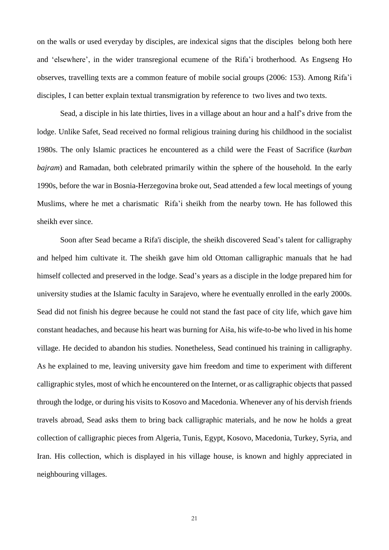on the walls or used everyday by disciples, are indexical signs that the disciples belong both here and 'elsewhere', in the wider transregional ecumene of the Rifa'i brotherhood. As Engseng Ho observes, travelling texts are a common feature of mobile social groups (2006: 153). Among Rifa'i disciples, I can better explain textual transmigration by reference to two lives and two texts.

Sead, a disciple in his late thirties, lives in a village about an hour and a half's drive from the lodge. Unlike Safet, Sead received no formal religious training during his childhood in the socialist 1980s. The only Islamic practices he encountered as a child were the Feast of Sacrifice (*kurban bajram*) and Ramadan, both celebrated primarily within the sphere of the household. In the early 1990s, before the war in Bosnia-Herzegovina broke out, Sead attended a few local meetings of young Muslims, where he met a charismatic Rifa'i sheikh from the nearby town. He has followed this sheikh ever since.

Soon after Sead became a Rifa'i disciple, the sheikh discovered Sead's talent for calligraphy and helped him cultivate it. The sheikh gave him old Ottoman calligraphic manuals that he had himself collected and preserved in the lodge. Sead's years as a disciple in the lodge prepared him for university studies at the Islamic faculty in Sarajevo, where he eventually enrolled in the early 2000s. Sead did not finish his degree because he could not stand the fast pace of city life, which gave him constant headaches, and because his heart was burning for Aiša, his wife-to-be who lived in his home village. He decided to abandon his studies. Nonetheless, Sead continued his training in calligraphy. As he explained to me, leaving university gave him freedom and time to experiment with different calligraphic styles, most of which he encountered on the Internet, or as calligraphic objects that passed through the lodge, or during his visits to Kosovo and Macedonia. Whenever any of his dervish friends travels abroad, Sead asks them to bring back calligraphic materials, and he now he holds a great collection of calligraphic pieces from Algeria, Tunis, Egypt, Kosovo, Macedonia, Turkey, Syria, and Iran. His collection, which is displayed in his village house, is known and highly appreciated in neighbouring villages.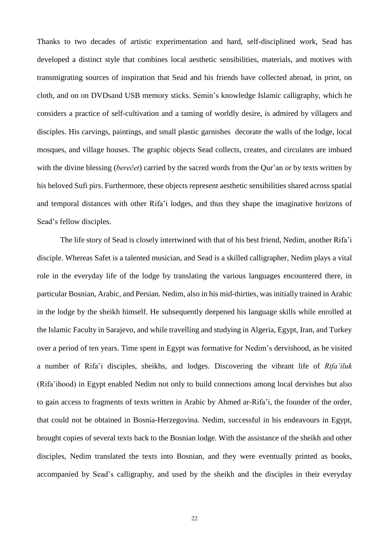Thanks to two decades of artistic experimentation and hard, self-disciplined work, Sead has developed a distinct style that combines local aesthetic sensibilities, materials, and motives with transmigrating sources of inspiration that Sead and his friends have collected abroad, in print, on cloth, and on on DVDsand USB memory sticks. Semin's knowledge Islamic calligraphy, which he considers a practice of self-cultivation and a taming of worldly desire, is admired by villagers and disciples. His carvings, paintings, and small plastic garnishes decorate the walls of the lodge, local mosques, and village houses. The graphic objects Sead collects, creates, and circulates are imbued with the divine blessing (*berečet*) carried by the sacred words from the Qur'an or by texts written by his beloved Sufi pirs. Furthermore, these objects represent aesthetic sensibilities shared across spatial and temporal distances with other Rifa'i lodges, and thus they shape the imaginative horizons of Sead's fellow disciples.

The life story of Sead is closely intertwined with that of his best friend, Nedim, another Rifa'i disciple. Whereas Safet is a talented musician, and Sead is a skilled calligrapher, Nedim plays a vital role in the everyday life of the lodge by translating the various languages encountered there, in particular Bosnian, Arabic, and Persian. Nedim, also in his mid-thirties, was initially trained in Arabic in the lodge by the sheikh himself. He subsequently deepened his language skills while enrolled at the Islamic Faculty in Sarajevo, and while travelling and studying in Algeria, Egypt, Iran, and Turkey over a period of ten years. Time spent in Egypt was formative for Nedim's dervishood, as he visited a number of Rifa'i disciples, sheikhs, and lodges. Discovering the vibrant life of *Rifa'iluk* (Rifa'ihood) in Egypt enabled Nedim not only to build connections among local dervishes but also to gain access to fragments of texts written in Arabic by Ahmed ar-Rifa'i, the founder of the order, that could not be obtained in Bosnia-Herzegovina. Nedim, successful in his endeavours in Egypt, brought copies of several texts back to the Bosnian lodge. With the assistance of the sheikh and other disciples, Nedim translated the texts into Bosnian, and they were eventually printed as books, accompanied by Sead's calligraphy, and used by the sheikh and the disciples in their everyday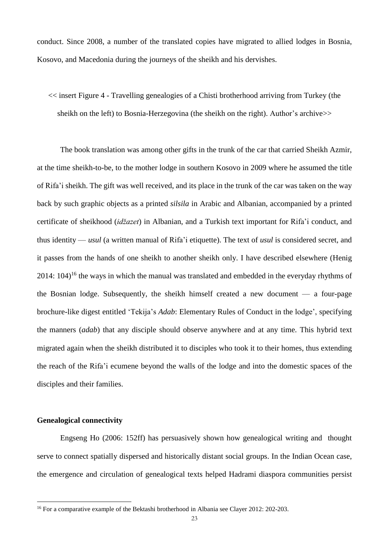conduct. Since 2008, a number of the translated copies have migrated to allied lodges in Bosnia, Kosovo, and Macedonia during the journeys of the sheikh and his dervishes.

<< insert Figure 4 - Travelling genealogies of a Chisti brotherhood arriving from Turkey (the sheikh on the left) to Bosnia-Herzegovina (the sheikh on the right). Author's archive>>

The book translation was among other gifts in the trunk of the car that carried Sheikh Azmir, at the time sheikh-to-be, to the mother lodge in southern Kosovo in 2009 where he assumed the title of Rifa'i sheikh. The gift was well received, and its place in the trunk of the car was taken on the way back by such graphic objects as a printed *silsila* in Arabic and Albanian, accompanied by a printed certificate of sheikhood (*idžazet*) in Albanian, and a Turkish text important for Rifa'i conduct, and thus identity — *usul* (a written manual of Rifa'i etiquette). The text of *usul* is considered secret, and it passes from the hands of one sheikh to another sheikh only. I have described elsewhere (Henig  $2014: 104$ <sup>16</sup> the ways in which the manual was translated and embedded in the everyday rhythms of the Bosnian lodge. Subsequently, the sheikh himself created a new document — a four-page brochure-like digest entitled 'Tekija's *Adab*: Elementary Rules of Conduct in the lodge', specifying the manners (*adab*) that any disciple should observe anywhere and at any time. This hybrid text migrated again when the sheikh distributed it to disciples who took it to their homes, thus extending the reach of the Rifa'i ecumene beyond the walls of the lodge and into the domestic spaces of the disciples and their families.

#### **Genealogical connectivity**

 $\overline{a}$ 

Engseng Ho (2006: 152ff) has persuasively shown how genealogical writing and thought serve to connect spatially dispersed and historically distant social groups. In the Indian Ocean case, the emergence and circulation of genealogical texts helped Hadrami diaspora communities persist

<sup>&</sup>lt;sup>16</sup> For a comparative example of the Bektashi brotherhood in Albania see Clayer 2012: 202-203.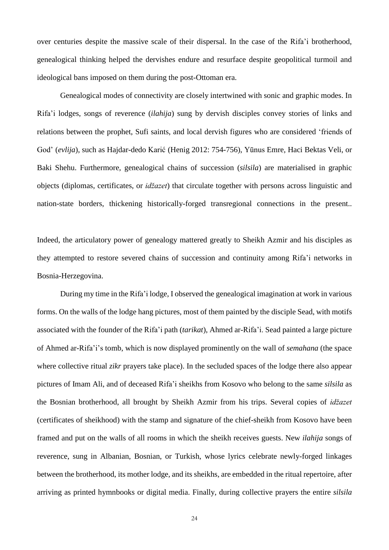over centuries despite the massive scale of their dispersal. In the case of the Rifa'i brotherhood, genealogical thinking helped the dervishes endure and resurface despite geopolitical turmoil and ideological bans imposed on them during the post-Ottoman era.

Genealogical modes of connectivity are closely intertwined with sonic and graphic modes. In Rifa'i lodges, songs of reverence (*ilahija*) sung by dervish disciples convey stories of links and relations between the prophet, Sufi saints, and local dervish figures who are considered 'friends of God' (*evlija*), such as Hajdar-dedo Karić (Henig 2012: 754-756), Yūnus Emre, Haci Bektas Veli, or Baki Shehu. Furthermore, genealogical chains of succession (*silsila*) are materialised in graphic objects (diplomas, certificates, or *idžazet*) that circulate together with persons across linguistic and nation-state borders, thickening historically-forged transregional connections in the present..

Indeed, the articulatory power of genealogy mattered greatly to Sheikh Azmir and his disciples as they attempted to restore severed chains of succession and continuity among Rifa'i networks in Bosnia-Herzegovina.

During my time in the Rifa'i lodge, I observed the genealogical imagination at work in various forms. On the walls of the lodge hang pictures, most of them painted by the disciple Sead, with motifs associated with the founder of the Rifa'i path (*tarikat*), Ahmed ar-Rifa'i. Sead painted a large picture of Ahmed ar-Rifa'i's tomb, which is now displayed prominently on the wall of *semahana* (the space where collective ritual *zikr* prayers take place). In the secluded spaces of the lodge there also appear pictures of Imam Ali, and of deceased Rifa'i sheikhs from Kosovo who belong to the same *silsila* as the Bosnian brotherhood, all brought by Sheikh Azmir from his trips. Several copies of *idžazet* (certificates of sheikhood) with the stamp and signature of the chief-sheikh from Kosovo have been framed and put on the walls of all rooms in which the sheikh receives guests. New *ilahija* songs of reverence, sung in Albanian, Bosnian, or Turkish, whose lyrics celebrate newly-forged linkages between the brotherhood, its mother lodge, and its sheikhs, are embedded in the ritual repertoire, after arriving as printed hymnbooks or digital media. Finally, during collective prayers the entire *silsila*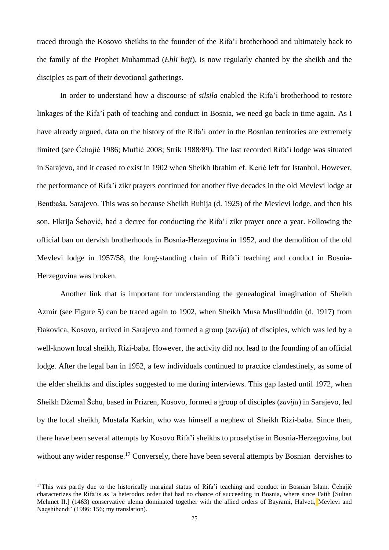traced through the Kosovo sheikhs to the founder of the Rifa'i brotherhood and ultimately back to the family of the Prophet Muhammad (*Ehli bejt*), is now regularly chanted by the sheikh and the disciples as part of their devotional gatherings.

In order to understand how a discourse of *silsila* enabled the Rifa'i brotherhood to restore linkages of the Rifa'i path of teaching and conduct in Bosnia, we need go back in time again. As I have already argued, data on the history of the Rifa'i order in the Bosnian territories are extremely limited (see Ćehajić 1986; Muftić 2008; Strik 1988/89). The last recorded Rifa'i lodge was situated in Sarajevo, and it ceased to exist in 1902 when Sheikh Ibrahim ef. Kerić left for Istanbul. However, the performance of Rifa'i zikr prayers continued for another five decades in the old Mevlevi lodge at Bentbaša, Sarajevo. This was so because Sheikh Ruhija (d. 1925) of the Mevlevi lodge, and then his son, Fikrija Šehović, had a decree for conducting the Rifa'i zikr prayer once a year. Following the official ban on dervish brotherhoods in Bosnia-Herzegovina in 1952, and the demolition of the old Mevlevi lodge in 1957/58, the long-standing chain of Rifa'i teaching and conduct in Bosnia-Herzegovina was broken.

Another link that is important for understanding the genealogical imagination of Sheikh Azmir (see Figure 5) can be traced again to 1902, when Sheikh Musa Muslihuddin (d. 1917) from Ðakovica, Kosovo, arrived in Sarajevo and formed a group (*zavija*) of disciples, which was led by a well-known local sheikh, Rizi-baba. However, the activity did not lead to the founding of an official lodge. After the legal ban in 1952, a few individuals continued to practice clandestinely, as some of the elder sheikhs and disciples suggested to me during interviews. This gap lasted until 1972, when Sheikh Džemal Šehu, based in Prizren, Kosovo, formed a group of disciples (*zavija*) in Sarajevo, led by the local sheikh, Mustafa Karkin, who was himself a nephew of Sheikh Rizi-baba. Since then, there have been several attempts by Kosovo Rifa'i sheikhs to proselytise in Bosnia-Herzegovina, but without any wider response.<sup>17</sup> Conversely, there have been several attempts by Bosnian dervishes to

<sup>&</sup>lt;sup>17</sup>This was partly due to the historically marginal status of Rifa'i teaching and conduct in Bosnian Islam. Čehajić characterizes the Rifa'is as 'a heterodox order that had no chance of succeeding in Bosnia, where since Fatih [Sultan Mehmet II.] (1463) conservative ulema dominated together with the allied orders of Bayrami, Halveti, Mevlevi and Naqshibendi' (1986: 156; my translation).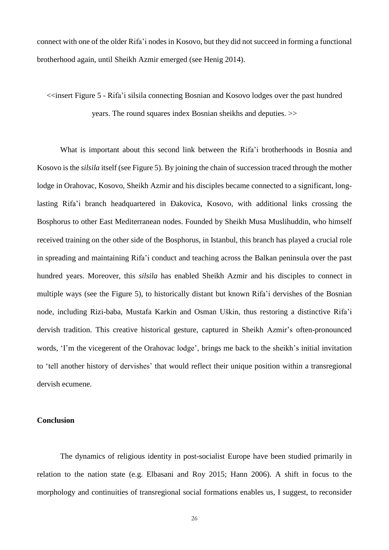connect with one of the older Rifa'i nodes in Kosovo, but they did not succeed in forming a functional brotherhood again, until Sheikh Azmir emerged (see Henig 2014).

<<insert Figure 5 - Rifa'i silsila connecting Bosnian and Kosovo lodges over the past hundred years. The round squares index Bosnian sheikhs and deputies. >>

What is important about this second link between the Rifa'i brotherhoods in Bosnia and Kosovo is the *silsila* itself (see Figure 5). By joining the chain of succession traced through the mother lodge in Orahovac, Kosovo, Sheikh Azmir and his disciples became connected to a significant, longlasting Rifa'i branch headquartered in Ðakovica, Kosovo, with additional links crossing the Bosphorus to other East Mediterranean nodes. Founded by Sheikh Musa Muslihuddin, who himself received training on the other side of the Bosphorus, in Istanbul, this branch has played a crucial role in spreading and maintaining Rifa'i conduct and teaching across the Balkan peninsula over the past hundred years. Moreover, this *silsila* has enabled Sheikh Azmir and his disciples to connect in multiple ways (see the Figure 5), to historically distant but known Rifa'i dervishes of the Bosnian node, including Rizi-baba, Mustafa Karkin and Osman Uškin, thus restoring a distinctive Rifa'i dervish tradition. This creative historical gesture, captured in Sheikh Azmir's often-pronounced words, 'I'm the vicegerent of the Orahovac lodge', brings me back to the sheikh's initial invitation to 'tell another history of dervishes' that would reflect their unique position within a transregional dervish ecumene.

#### **Conclusion**

The dynamics of religious identity in post-socialist Europe have been studied primarily in relation to the nation state (e.g. Elbasani and Roy 2015; Hann 2006). A shift in focus to the morphology and continuities of transregional social formations enables us, I suggest, to reconsider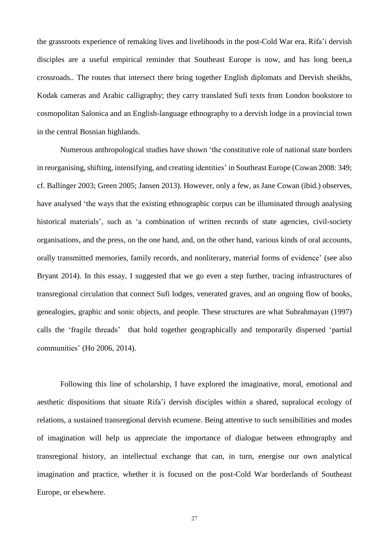the grassroots experience of remaking lives and livelihoods in the post-Cold War era. Rifa'i dervish disciples are a useful empirical reminder that Southeast Europe is now, and has long been,a crossroads.. The routes that intersect there bring together English diplomats and Dervish sheikhs, Kodak cameras and Arabic calligraphy; they carry translated Sufi texts from London bookstore to cosmopolitan Salonica and an English-language ethnography to a dervish lodge in a provincial town in the central Bosnian highlands.

Numerous anthropological studies have shown 'the constitutive role of national state borders in reorganising, shifting, intensifying, and creating identities' in Southeast Europe (Cowan 2008: 349; cf. Ballinger 2003; Green 2005; Jansen 2013). However, only a few, as Jane Cowan (ibid.) observes, have analysed 'the ways that the existing ethnographic corpus can be illuminated through analysing historical materials', such as 'a combination of written records of state agencies, civil-society organisations, and the press, on the one hand, and, on the other hand, various kinds of oral accounts, orally transmitted memories, family records, and nonliterary, material forms of evidence' (see also Bryant 2014). In this essay, I suggested that we go even a step further, tracing infrastructures of transregional circulation that connect Sufi lodges, venerated graves, and an ongoing flow of books, genealogies, graphic and sonic objects, and people. These structures are what Subrahmayan (1997) calls the 'fragile threads' that hold together geographically and temporarily dispersed 'partial communities' (Ho 2006, 2014).

Following this line of scholarship, I have explored the imaginative, moral, emotional and aesthetic dispositions that situate Rifa'i dervish disciples within a shared, supralocal ecology of relations, a sustained transregional dervish ecumene. Being attentive to such sensibilities and modes of imagination will help us appreciate the importance of dialogue between ethnography and transregional history, an intellectual exchange that can, in turn, energise our own analytical imagination and practice, whether it is focused on the post-Cold War borderlands of Southeast Europe, or elsewhere.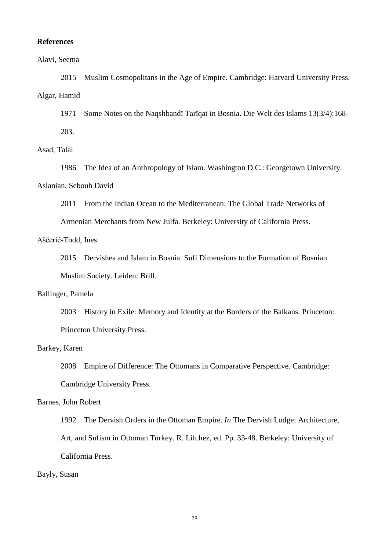#### **References**

#### Alavi, Seema

2015 Muslim Cosmopolitans in the Age of Empire. Cambridge: Harvard University Press. Algar, Hamid

1971 Some Notes on the Naqshbandī Tarīqat in Bosnia. Die Welt des Islams 13(3/4):168- 203.

# Asad, Talal

1986 The Idea of an Anthropology of Islam. Washington D.C.: Georgetown University. Aslanian, Sebouh David

2011 From the Indian Ocean to the Mediterranean: The Global Trade Networks of

Armenian Merchants from New Julfa. Berkeley: University of California Press.

## Aščerić-Todd, Ines

2015 Dervishes and Islam in Bosnia: Sufi Dimensions to the Formation of Bosnian Muslim Society. Leiden: Brill.

#### Ballinger, Pamela

2003 History in Exile: Memory and Identity at the Borders of the Balkans. Princeton: Princeton University Press.

## Barkey, Karen

2008 Empire of Difference: The Ottomans in Comparative Perspective. Cambridge: Cambridge University Press.

# Barnes, John Robert

1992 The Dervish Orders in the Ottoman Empire. *In* The Dervish Lodge: Architecture, Art, and Sufism in Ottoman Turkey. R. Lifchez, ed. Pp. 33-48. Berkeley: University of California Press.

#### Bayly, Susan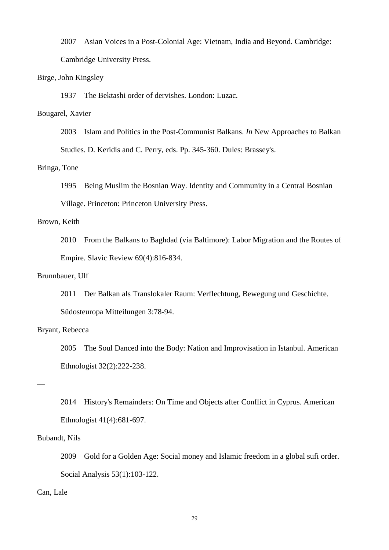2007 Asian Voices in a Post-Colonial Age: Vietnam, India and Beyond. Cambridge:

Cambridge University Press.

# Birge, John Kingsley

1937 The Bektashi order of dervishes. London: Luzac.

# Bougarel, Xavier

2003 Islam and Politics in the Post-Communist Balkans. *In* New Approaches to Balkan

Studies. D. Keridis and C. Perry, eds. Pp. 345-360. Dules: Brassey's.

# Bringa, Tone

1995 Being Muslim the Bosnian Way. Identity and Community in a Central Bosnian

Village. Princeton: Princeton University Press.

# Brown, Keith

2010 From the Balkans to Baghdad (via Baltimore): Labor Migration and the Routes of Empire. Slavic Review 69(4):816-834.

# Brunnbauer, Ulf

2011 Der Balkan als Translokaler Raum: Verflechtung, Bewegung und Geschichte. Südosteuropa Mitteilungen 3:78-94.

#### Bryant, Rebecca

2005 The Soul Danced into the Body: Nation and Improvisation in Istanbul. American Ethnologist 32(2):222-238.

—

2014 History's Remainders: On Time and Objects after Conflict in Cyprus. American Ethnologist 41(4):681-697.

# Bubandt, Nils

2009 Gold for a Golden Age: Social money and Islamic freedom in a global sufi order. Social Analysis 53(1):103-122.

# Can, Lale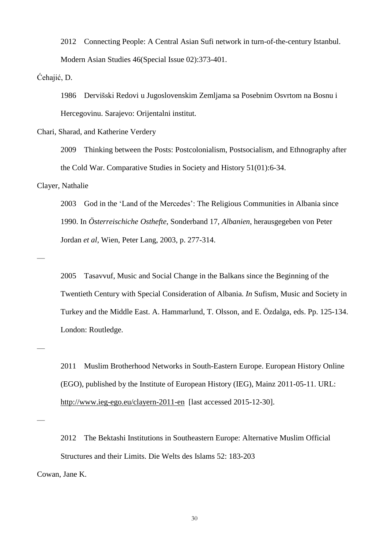2012 Connecting People: A Central Asian Sufi network in turn-of-the-century Istanbul. Modern Asian Studies 46(Special Issue 02):373-401.

Ćehajić, D.

1986 Dervišski Redovi u Jugoslovenskim Zemljama sa Posebnim Osvrtom na Bosnu i Hercegovinu. Sarajevo: Orijentalni institut.

Chari, Sharad, and Katherine Verdery

2009 Thinking between the Posts: Postcolonialism, Postsocialism, and Ethnography after the Cold War. Comparative Studies in Society and History 51(01):6-34.

Clayer, Nathalie

2003 God in the 'Land of the Mercedes': The Religious Communities in Albania since 1990. In *Österreischiche Osthefte*, Sonderband 17, *Albanien*, herausgegeben von Peter Jordan *et al*, Wien, Peter Lang, 2003, p. 277-314.

—

2005 Tasavvuf, Music and Social Change in the Balkans since the Beginning of the Twentieth Century with Special Consideration of Albania. *In* Sufism, Music and Society in Turkey and the Middle East. A. Hammarlund, T. Olsson, and E. Özdalga, eds. Pp. 125-134. London: Routledge.

2011 Muslim Brotherhood Networks in South-Eastern Europe. European History Online (EGO), published by the Institute of European History (IEG), Mainz 2011-05-11. URL: <http://www.ieg-ego.eu/clayern-2011-en>[last accessed 2015-12-30].

—

—

2012 The Bektashi Institutions in Southeastern Europe: Alternative Muslim Official Structures and their Limits. Die Welts des Islams 52: 183-203 Cowan, Jane K.

30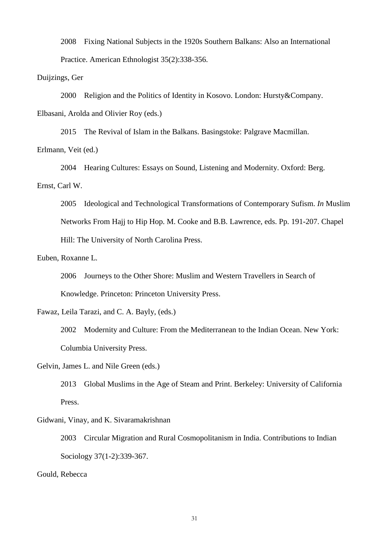2008 Fixing National Subjects in the 1920s Southern Balkans: Also an International Practice. American Ethnologist 35(2):338-356.

Duijzings, Ger

2000 Religion and the Politics of Identity in Kosovo. London: Hursty&Company.

Elbasani, Arolda and Olivier Roy (eds.)

2015 The Revival of Islam in the Balkans. Basingstoke: Palgrave Macmillan.

Erlmann, Veit (ed.)

2004 Hearing Cultures: Essays on Sound, Listening and Modernity. Oxford: Berg. Ernst, Carl W.

2005 Ideological and Technological Transformations of Contemporary Sufism. *In* Muslim Networks From Hajj to Hip Hop. M. Cooke and B.B. Lawrence, eds. Pp. 191-207. Chapel Hill: The University of North Carolina Press.

Euben, Roxanne L.

2006 Journeys to the Other Shore: Muslim and Western Travellers in Search of Knowledge. Princeton: Princeton University Press.

Fawaz, Leila Tarazi, and C. A. Bayly, (eds.)

2002 Modernity and Culture: From the Mediterranean to the Indian Ocean. New York: Columbia University Press.

Gelvin, James L. and Nile Green (eds.)

2013 Global Muslims in the Age of Steam and Print. Berkeley: University of California Press.

Gidwani, Vinay, and K. Sivaramakrishnan

2003 Circular Migration and Rural Cosmopolitanism in India. Contributions to Indian Sociology 37(1-2):339-367.

Gould, Rebecca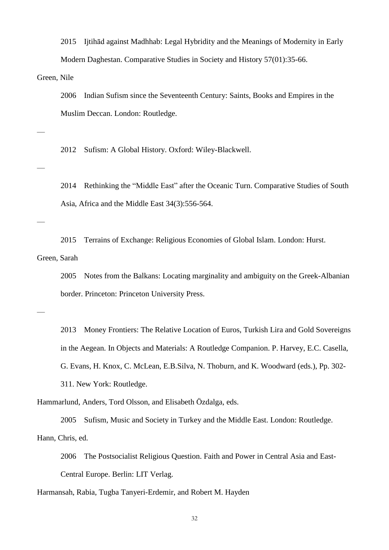2015 Ijtihād against Madhhab: Legal Hybridity and the Meanings of Modernity in Early Modern Daghestan. Comparative Studies in Society and History 57(01):35-66.

Green, Nile

—

—

—

2006 Indian Sufism since the Seventeenth Century: Saints, Books and Empires in the Muslim Deccan. London: Routledge.

2012 Sufism: A Global History. Oxford: Wiley-Blackwell.

2014 Rethinking the "Middle East" after the Oceanic Turn. Comparative Studies of South Asia, Africa and the Middle East 34(3):556-564.

2015 Terrains of Exchange: Religious Economies of Global Islam. London: Hurst. Green, Sarah

2005 Notes from the Balkans: Locating marginality and ambiguity on the Greek-Albanian border. Princeton: Princeton University Press.

—

2013 Money Frontiers: The Relative Location of Euros, Turkish Lira and Gold Sovereigns in the Aegean. In Objects and Materials: A Routledge Companion. P. Harvey, E.C. Casella, G. Evans, H. Knox, C. McLean, E.B.Silva, N. Thoburn, and K. Woodward (eds.), Pp. 302- 311. New York: Routledge.

Hammarlund, Anders, Tord Olsson, and Elisabeth Özdalga, eds.

2005 Sufism, Music and Society in Turkey and the Middle East. London: Routledge. Hann, Chris, ed.

2006 The Postsocialist Religious Question. Faith and Power in Central Asia and East-Central Europe. Berlin: LIT Verlag.

Harmansah, Rabia, Tugba Tanyeri-Erdemir, and Robert M. Hayden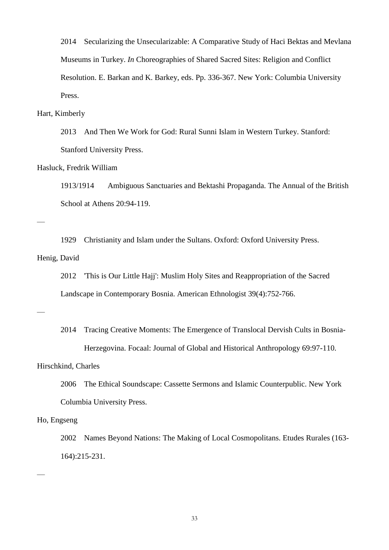2014 Secularizing the Unsecularizable: A Comparative Study of Haci Bektas and Mevlana Museums in Turkey. *In* Choreographies of Shared Sacred Sites: Religion and Conflict Resolution. E. Barkan and K. Barkey, eds. Pp. 336-367. New York: Columbia University Press.

#### Hart, Kimberly

2013 And Then We Work for God: Rural Sunni Islam in Western Turkey. Stanford: Stanford University Press.

# Hasluck, Fredrik William

1913/1914 Ambiguous Sanctuaries and Bektashi Propaganda. The Annual of the British School at Athens 20:94-119.

—

1929 Christianity and Islam under the Sultans. Oxford: Oxford University Press.

# Henig, David

2012 'This is Our Little Hajj': Muslim Holy Sites and Reappropriation of the Sacred Landscape in Contemporary Bosnia. American Ethnologist 39(4):752-766.

—

2014 Tracing Creative Moments: The Emergence of Translocal Dervish Cults in Bosnia-Herzegovina. Focaal: Journal of Global and Historical Anthropology 69:97-110.

# Hirschkind, Charles

2006 The Ethical Soundscape: Cassette Sermons and Islamic Counterpublic. New York Columbia University Press.

## Ho, Engseng

—

2002 Names Beyond Nations: The Making of Local Cosmopolitans. Etudes Rurales (163- 164):215-231.

33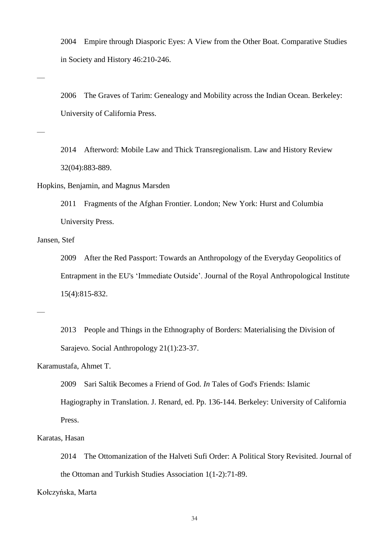2004 Empire through Diasporic Eyes: A View from the Other Boat. Comparative Studies in Society and History 46:210-246.

2006 The Graves of Tarim: Genealogy and Mobility across the Indian Ocean. Berkeley: University of California Press.

2014 Afterword: Mobile Law and Thick Transregionalism. Law and History Review 32(04):883-889.

Hopkins, Benjamin, and Magnus Marsden

2011 Fragments of the Afghan Frontier. London; New York: Hurst and Columbia University Press.

Jansen, Stef

2009 After the Red Passport: Towards an Anthropology of the Everyday Geopolitics of Entrapment in the EU's 'Immediate Outside'. Journal of the Royal Anthropological Institute 15(4):815-832.

—

—

—

2013 People and Things in the Ethnography of Borders: Materialising the Division of Sarajevo. Social Anthropology 21(1):23-37.

Karamustafa, Ahmet T.

2009 Sari Saltik Becomes a Friend of God. *In* Tales of God's Friends: Islamic

Hagiography in Translation. J. Renard, ed. Pp. 136-144. Berkeley: University of California Press.

Karatas, Hasan

2014 The Ottomanization of the Halveti Sufi Order: A Political Story Revisited. Journal of the Ottoman and Turkish Studies Association 1(1-2):71-89.

Kołczyńska, Marta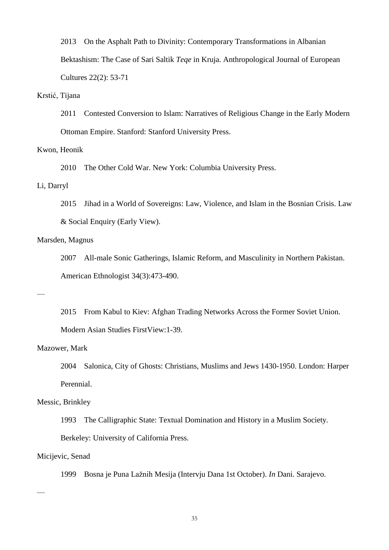2013 On the Asphalt Path to Divinity: Contemporary Transformations in Albanian Bektashism: The Case of Sari Saltik *Teqe* in Kruja. Anthropological Journal of European Cultures 22(2): 53-71

#### Krstić, Tijana

2011 Contested Conversion to Islam: Narratives of Religious Change in the Early Modern Ottoman Empire. Stanford: Stanford University Press.

# Kwon, Heonik

2010 The Other Cold War. New York: Columbia University Press.

#### Li, Darryl

2015 Jihad in a World of Sovereigns: Law, Violence, and Islam in the Bosnian Crisis. Law & Social Enquiry (Early View).

# Marsden, Magnus

2007 All-male Sonic Gatherings, Islamic Reform, and Masculinity in Northern Pakistan. American Ethnologist 34(3):473-490.

—

2015 From Kabul to Kiev: Afghan Trading Networks Across the Former Soviet Union. Modern Asian Studies FirstView:1-39.

## Mazower, Mark

2004 Salonica, City of Ghosts: Christians, Muslims and Jews 1430-1950. London: Harper Perennial.

#### Messic, Brinkley

1993 The Calligraphic State: Textual Domination and History in a Muslim Society.

Berkeley: University of California Press.

# Micijevic, Senad

—

1999 Bosna je Puna Lažnih Mesija (Intervju Dana 1st October). *In* Dani. Sarajevo.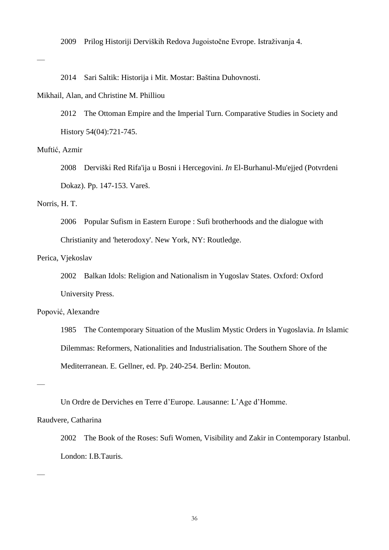2009 Prilog Historiji Derviških Redova Jugoistočne Evrope. Istraživanja 4.

—

2014 Sari Saltik: Historija i Mit. Mostar: Baština Duhovnosti.

#### Mikhail, Alan, and Christine M. Philliou

2012 The Ottoman Empire and the Imperial Turn. Comparative Studies in Society and History 54(04):721-745.

# Muftić, Azmir

2008 Derviški Red Rifa'ija u Bosni i Hercegovini. *In* El-Burhanul-Mu'ejjed (Potvrdeni Dokaz). Pp. 147-153. Vareš.

#### Norris, H. T.

2006 Popular Sufism in Eastern Europe : Sufi brotherhoods and the dialogue with Christianity and 'heterodoxy'. New York, NY: Routledge.

# Perica, Vjekoslav

2002 Balkan Idols: Religion and Nationalism in Yugoslav States. Oxford: Oxford University Press.

# Popović, Alexandre

1985 The Contemporary Situation of the Muslim Mystic Orders in Yugoslavia. *In* Islamic Dilemmas: Reformers, Nationalities and Industrialisation. The Southern Shore of the Mediterranean. E. Gellner, ed. Pp. 240-254. Berlin: Mouton.

—

—

Un Ordre de Derviches en Terre d'Europe. Lausanne: L'Age d'Homme.

#### Raudvere, Catharina

2002 The Book of the Roses: Sufi Women, Visibility and Zakir in Contemporary Istanbul. London: I.B.Tauris.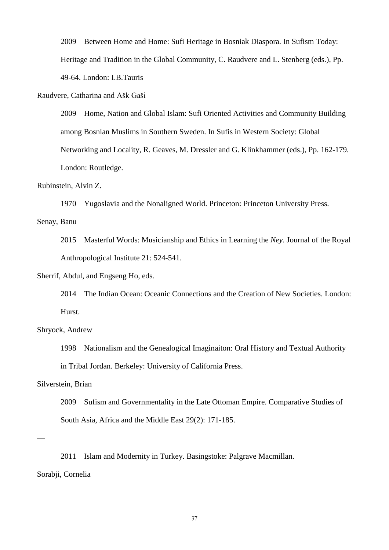2009 Between Home and Home: Sufi Heritage in Bosniak Diaspora. In Sufism Today: Heritage and Tradition in the Global Community, C. Raudvere and L. Stenberg (eds.), Pp. 49-64. London: I.B.Tauris

Raudvere, Catharina and Ašk Gaši

2009 Home, Nation and Global Islam: Sufi Oriented Activities and Community Building among Bosnian Muslims in Southern Sweden. In Sufis in Western Society: Global Networking and Locality, R. Geaves, M. Dressler and G. Klinkhammer (eds.), Pp. 162-179. London: Routledge.

# Rubinstein, Alvin Z.

1970 Yugoslavia and the Nonaligned World. Princeton: Princeton University Press.

Senay, Banu

2015 Masterful Words: Musicianship and Ethics in Learning the *Ney*. Journal of the Royal Anthropological Institute 21: 524-541.

Sherrif, Abdul, and Engseng Ho, eds.

2014 The Indian Ocean: Oceanic Connections and the Creation of New Societies. London: Hurst.

#### Shryock, Andrew

1998 Nationalism and the Genealogical Imaginaiton: Oral History and Textual Authority

in Tribal Jordan. Berkeley: University of California Press.

Silverstein, Brian

2009 Sufism and Governmentality in the Late Ottoman Empire. Comparative Studies of South Asia, Africa and the Middle East 29(2): 171-185.

—

2011 Islam and Modernity in Turkey. Basingstoke: Palgrave Macmillan.

Sorabji, Cornelia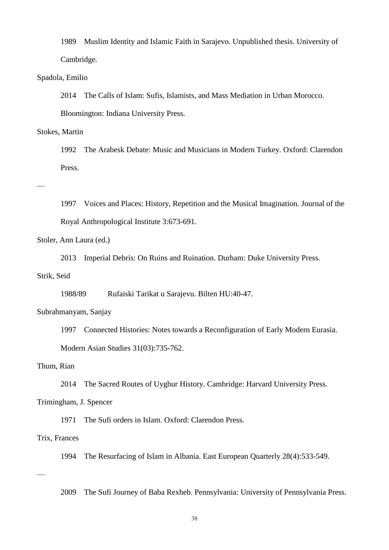1989 Muslim Identity and Islamic Faith in Sarajevo. Unpublished thesis. University of Cambridge.

## Spadola, Emilio

2014 The Calls of Islam: Sufis, Islamists, and Mass Mediation in Urban Morocco.

Bloomington: Indiana University Press.

#### Stokes, Martin

1992 The Arabesk Debate: Music and Musicians in Modern Turkey. Oxford: Clarendon Press.

## —

1997 Voices and Places: History, Repetition and the Musical Imagination. Journal of the Royal Anthropological Institute 3:673-691.

# Stoler, Ann Laura (ed.)

2013 Imperial Debris: On Ruins and Ruination. Durham: Duke University Press.

## Strik, Seid

1988/89 Rufaiski Tarikat u Sarajevu. Bilten HU:40-47.

#### Subrahmanyam, Sanjay

1997 Connected Histories: Notes towards a Reconfiguration of Early Modern Eurasia.

Modern Asian Studies 31(03):735-762.

# Thum, Rian

2014 The Sacred Routes of Uyghur History. Cambridge: Harvard University Press.

#### Trimingham, J. Spencer

1971 The Sufi orders in Islam. Oxford: Clarendon Press.

#### Trix, Frances

1994 The Resurfacing of Islam in Albania. East European Quarterly 28(4):533-549.

# —

2009 The Sufi Journey of Baba Rexheb. Pennsylvania: University of Pennsylvania Press.